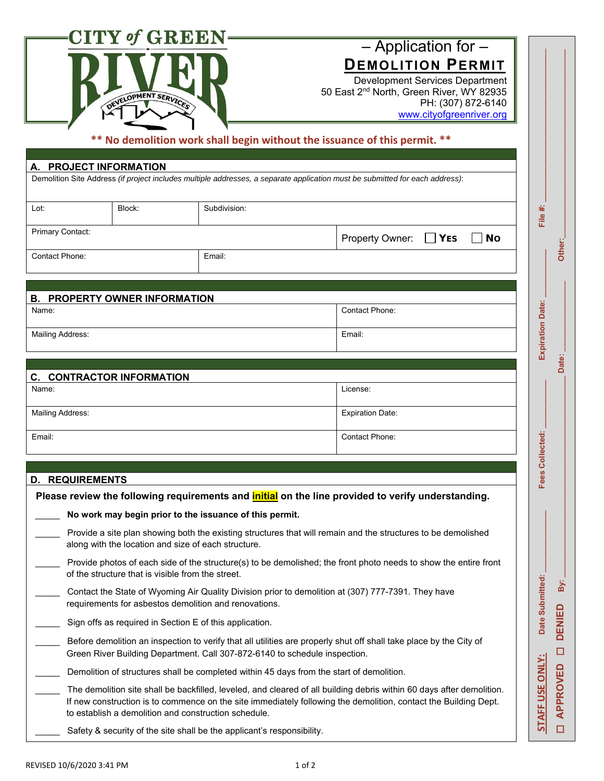|                                                                                                                                                                                                                                                                                                  | $\bold{CITY\textit{ of} GREFN}$ -<br>DEVELOPMENT SERVICES                                                                                                                                        |                                                                        | $-$ Application for $-$<br><b>DEMOLITION PERMIT</b><br>Development Services Department<br>50 East 2 <sup>nd</sup> North, Green River, WY 82935<br>PH: (307) 872-6140<br>www.cityofgreenriver.org<br>** No demolition work shall begin without the issuance of this permit. ** |                                                     |  |  |
|--------------------------------------------------------------------------------------------------------------------------------------------------------------------------------------------------------------------------------------------------------------------------------------------------|--------------------------------------------------------------------------------------------------------------------------------------------------------------------------------------------------|------------------------------------------------------------------------|-------------------------------------------------------------------------------------------------------------------------------------------------------------------------------------------------------------------------------------------------------------------------------|-----------------------------------------------------|--|--|
|                                                                                                                                                                                                                                                                                                  | A. PROJECT INFORMATION                                                                                                                                                                           |                                                                        | Demolition Site Address (if project includes multiple addresses, a separate application must be submitted for each address):                                                                                                                                                  |                                                     |  |  |
| Lot:                                                                                                                                                                                                                                                                                             | Block:                                                                                                                                                                                           | Subdivision:                                                           |                                                                                                                                                                                                                                                                               | File #:                                             |  |  |
| Primary Contact:                                                                                                                                                                                                                                                                                 |                                                                                                                                                                                                  |                                                                        | Property Owner:<br><b>YES</b><br><b>No</b>                                                                                                                                                                                                                                    | Other:                                              |  |  |
| Contact Phone:                                                                                                                                                                                                                                                                                   |                                                                                                                                                                                                  | Email:                                                                 |                                                                                                                                                                                                                                                                               |                                                     |  |  |
|                                                                                                                                                                                                                                                                                                  |                                                                                                                                                                                                  |                                                                        |                                                                                                                                                                                                                                                                               |                                                     |  |  |
| Name:                                                                                                                                                                                                                                                                                            | <b>B. PROPERTY OWNER INFORMATION</b>                                                                                                                                                             |                                                                        | Contact Phone:                                                                                                                                                                                                                                                                |                                                     |  |  |
|                                                                                                                                                                                                                                                                                                  |                                                                                                                                                                                                  |                                                                        |                                                                                                                                                                                                                                                                               |                                                     |  |  |
|                                                                                                                                                                                                                                                                                                  | Mailing Address:                                                                                                                                                                                 |                                                                        | Email:                                                                                                                                                                                                                                                                        | <b>Expiration Date:</b>                             |  |  |
|                                                                                                                                                                                                                                                                                                  |                                                                                                                                                                                                  |                                                                        |                                                                                                                                                                                                                                                                               | Date:                                               |  |  |
| Name:                                                                                                                                                                                                                                                                                            | <b>C. CONTRACTOR INFORMATION</b>                                                                                                                                                                 |                                                                        | License:                                                                                                                                                                                                                                                                      |                                                     |  |  |
|                                                                                                                                                                                                                                                                                                  |                                                                                                                                                                                                  |                                                                        |                                                                                                                                                                                                                                                                               |                                                     |  |  |
| Mailing Address:                                                                                                                                                                                                                                                                                 |                                                                                                                                                                                                  |                                                                        | <b>Expiration Date:</b>                                                                                                                                                                                                                                                       |                                                     |  |  |
| Email:                                                                                                                                                                                                                                                                                           |                                                                                                                                                                                                  |                                                                        | Contact Phone:                                                                                                                                                                                                                                                                | Collected:                                          |  |  |
|                                                                                                                                                                                                                                                                                                  |                                                                                                                                                                                                  |                                                                        |                                                                                                                                                                                                                                                                               |                                                     |  |  |
| <b>REQUIREMENTS</b><br>D.                                                                                                                                                                                                                                                                        |                                                                                                                                                                                                  |                                                                        |                                                                                                                                                                                                                                                                               | Fees                                                |  |  |
|                                                                                                                                                                                                                                                                                                  |                                                                                                                                                                                                  |                                                                        | Please review the following requirements and <i>initial</i> on the line provided to verify understanding.                                                                                                                                                                     |                                                     |  |  |
|                                                                                                                                                                                                                                                                                                  |                                                                                                                                                                                                  | No work may begin prior to the issuance of this permit.                |                                                                                                                                                                                                                                                                               |                                                     |  |  |
|                                                                                                                                                                                                                                                                                                  | along with the location and size of each structure.                                                                                                                                              |                                                                        | Provide a site plan showing both the existing structures that will remain and the structures to be demolished                                                                                                                                                                 |                                                     |  |  |
|                                                                                                                                                                                                                                                                                                  | Provide photos of each side of the structure(s) to be demolished; the front photo needs to show the entire front<br>of the structure that is visible from the street.                            |                                                                        |                                                                                                                                                                                                                                                                               |                                                     |  |  |
|                                                                                                                                                                                                                                                                                                  | Contact the State of Wyoming Air Quality Division prior to demolition at (307) 777-7391. They have<br>requirements for asbestos demolition and renovations.                                      |                                                                        |                                                                                                                                                                                                                                                                               |                                                     |  |  |
|                                                                                                                                                                                                                                                                                                  | Sign offs as required in Section E of this application.                                                                                                                                          |                                                                        |                                                                                                                                                                                                                                                                               |                                                     |  |  |
|                                                                                                                                                                                                                                                                                                  | Before demolition an inspection to verify that all utilities are properly shut off shall take place by the City of<br>Green River Building Department. Call 307-872-6140 to schedule inspection. |                                                                        |                                                                                                                                                                                                                                                                               |                                                     |  |  |
| Demolition of structures shall be completed within 45 days from the start of demolition.                                                                                                                                                                                                         |                                                                                                                                                                                                  |                                                                        |                                                                                                                                                                                                                                                                               |                                                     |  |  |
| The demolition site shall be backfilled, leveled, and cleared of all building debris within 60 days after demolition.<br>If new construction is to commence on the site immediately following the demolition, contact the Building Dept.<br>to establish a demolition and construction schedule. |                                                                                                                                                                                                  |                                                                        |                                                                                                                                                                                                                                                                               |                                                     |  |  |
|                                                                                                                                                                                                                                                                                                  |                                                                                                                                                                                                  | Safety & security of the site shall be the applicant's responsibility. |                                                                                                                                                                                                                                                                               | <b>STAFF USE ONLY:</b><br><b>APPROVED</b><br>$\Box$ |  |  |